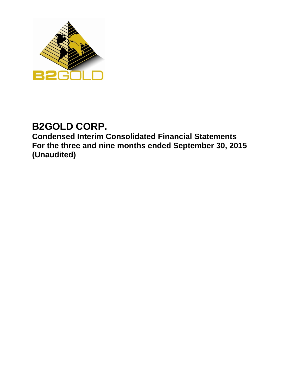

# **B2GOLD CORP.**

**Condensed Interim Consolidated Financial Statements For the three and nine months ended September 30, 2015 (Unaudited)**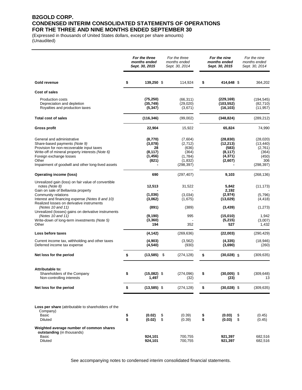### **B2GOLD CORP. CONDENSED INTERIM CONSOLIDATED STATEMENTS OF OPERATIONS FOR THE THREE AND NINE MONTHS ENDED SEPTEMBER 30**

(Expressed in thousands of United States dollars, except per share amounts) (Unaudited)

|                                                                                                                       |          | For the three<br>months ended<br>Sept. 30, 2015 |          | For the three<br>months ended<br>Sept. 30, 2014 |          | For the nine<br>months ended<br>Sept. 30, 2015 |          | For the nine<br>months ended<br>Sept. 30, 2014 |
|-----------------------------------------------------------------------------------------------------------------------|----------|-------------------------------------------------|----------|-------------------------------------------------|----------|------------------------------------------------|----------|------------------------------------------------|
| Gold revenue                                                                                                          | \$       | 139,250 \$                                      |          | 114,924                                         | \$       | 414,648 \$                                     |          | 364,202                                        |
| Cost of sales                                                                                                         |          |                                                 |          |                                                 |          |                                                |          |                                                |
| <b>Production costs</b>                                                                                               |          | (75, 250)                                       |          | (66, 311)                                       |          | (229, 169)                                     |          | (194, 545)                                     |
| Depreciation and depletion<br>Royalties and production taxes                                                          |          | (35, 749)<br>(5, 347)                           |          | (29,020)<br>(3,671)                             |          | (103, 552)<br>(16, 103)                        |          | (82,710)<br>(11, 957)                          |
| <b>Total cost of sales</b>                                                                                            |          | (116, 346)                                      |          | (99,002)                                        |          | (348, 824)                                     |          | (289, 212)                                     |
| Gross profit                                                                                                          |          | 22,904                                          |          | 15,922                                          |          | 65,824                                         |          | 74,990                                         |
| General and administrative                                                                                            |          | (8,770)                                         |          | (7,604)                                         |          | (28, 830)                                      |          | (28,020)                                       |
| Share-based payments (Note 9)                                                                                         |          | (3,078)                                         |          | (2,712)                                         |          | (12, 213)                                      |          | (13, 440)                                      |
| Provision for non-recoverable input taxes<br>Write-off of mineral property interests (Note 6)                         |          | 28<br>(8, 117)                                  |          | (636)<br>(364)                                  |          | (583)<br>(8, 117)                              |          | (2,761)<br>(364)                               |
| Foreign exchange losses                                                                                               |          | (1, 456)                                        |          | (1,784)                                         |          | (4, 371)                                       |          | (450)                                          |
| Other                                                                                                                 |          | (821)                                           |          | (1, 832)                                        |          | (2,607)                                        |          | 306                                            |
| Impairment of goodwill and other long-lived assets                                                                    |          |                                                 |          | (298, 397)                                      |          |                                                |          | (298, 397)                                     |
| Operating income (loss)                                                                                               |          | 690                                             |          | (297, 407)                                      |          | 9,103                                          |          | (268, 136)                                     |
| Unrealized gain (loss) on fair value of convertible<br>notes (Note 8)<br>Gain on sale of Bellavista property          |          | 12,513                                          |          | 31,522                                          |          | 5,842<br>2,192                                 |          | (11, 173)                                      |
| Community relations                                                                                                   |          | (1,036)                                         |          | (3,034)                                         |          | (2,974)                                        |          | (5,796)                                        |
| Interest and financing expense (Notes 8 and 10)                                                                       |          | (3,062)                                         |          | (1,675)                                         |          | (13,029)                                       |          | (4, 418)                                       |
| Realized losses on derivative instruments<br>(Notes 10 and 11)<br>Unrealized (losses) gains on derivative instruments |          | (891)                                           |          | (389)                                           |          | (3, 439)                                       |          | (1,273)                                        |
| (Notes 10 and 11)                                                                                                     |          | (9, 190)                                        |          | 995                                             |          | (15,010)                                       |          | 1,942                                          |
| Write-down of long-term investments (Note 5)<br>Other                                                                 |          | (3,360)<br>194                                  |          | 352                                             |          | (5,215)<br>527                                 |          | (3,007)<br>1,432                               |
| Loss before taxes                                                                                                     |          | (4, 142)                                        |          | (269, 636)                                      |          | (22,003)                                       |          | (290, 429)                                     |
| Current income tax, withholding and other taxes<br>Deferred income tax expense                                        |          | (4,903)<br>(4, 540)                             |          | (3, 562)<br>(930)                               |          | (4, 335)<br>(3,690)                            |          | (18, 946)<br>(260)                             |
| Net loss for the period                                                                                               | \$       | $(13,585)$ \$                                   |          | (274, 128)                                      | \$       | $(30,028)$ \$                                  |          | (309, 635)                                     |
| Attributable to:                                                                                                      |          |                                                 |          |                                                 |          |                                                |          |                                                |
| Shareholders of the Company<br>Non-controlling interests                                                              | Þ        | $(15,082)$ \$<br>1,497                          |          | (274,096)<br>(32)                               | \$       | (30,005) \$<br>(23)                            |          | (309, 648)<br>13                               |
| Net loss for the period                                                                                               | \$       | $(13,585)$ \$                                   |          | (274, 128)                                      | \$       | $(30,028)$ \$                                  |          | (309, 635)                                     |
| Loss per share (attributable to shareholders of the<br>Company)<br>Basic<br><b>Diluted</b>                            | \$<br>\$ | (0.02)<br>(0.02)                                | \$<br>\$ | (0.39)<br>(0.39)                                | \$<br>\$ | (0.03)<br>(0.03)                               | \$<br>\$ | (0.45)<br>(0.45)                               |
| Weighted average number of common shares                                                                              |          |                                                 |          |                                                 |          |                                                |          |                                                |
| outstanding (in thousands)<br>Basic                                                                                   |          |                                                 |          |                                                 |          |                                                |          |                                                |
| <b>Diluted</b>                                                                                                        |          | 924,101<br>924,101                              |          | 700,755<br>700,755                              |          | 921,397<br>921,397                             |          | 682,516<br>682,516                             |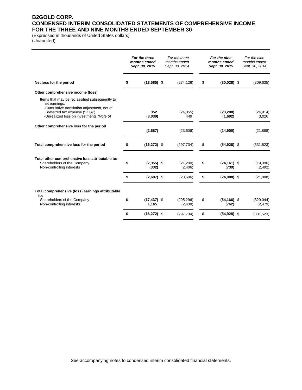### **B2GOLD CORP. CONDENSED INTERIM CONSOLIDATED STATEMENTS OF COMPREHENSIVE INCOME FOR THE THREE AND NINE MONTHS ENDED SEPTEMBER 30**

(Expressed in thousands of United States dollars) (Unaudited)

|                | For the three<br>For the nine<br>months ended<br>Sept. 30, 2014 |                                                                                                     | months ended<br>Sept. 30, 2015 | For the nine<br>months ended<br>Sept. 30, 2014 |                                                                                                        |
|----------------|-----------------------------------------------------------------|-----------------------------------------------------------------------------------------------------|--------------------------------|------------------------------------------------|--------------------------------------------------------------------------------------------------------|
| \$             |                                                                 | (274, 128)                                                                                          | \$                             |                                                | (309, 635)                                                                                             |
|                |                                                                 |                                                                                                     |                                |                                                |                                                                                                        |
| 352<br>(3,039) |                                                                 | (24, 055)<br>449                                                                                    |                                | (23, 208)<br>(1,692)                           | (24, 914)<br>3,026                                                                                     |
| (2,687)        |                                                                 | (23,606)                                                                                            |                                | (24,900)                                       | (21, 888)                                                                                              |
| \$             |                                                                 | (297, 734)                                                                                          | \$                             |                                                | (331, 523)                                                                                             |
| \$<br>(332)    |                                                                 | (21, 200)<br>(2,406)                                                                                | \$                             | (739)                                          | (19, 396)<br>(2, 492)                                                                                  |
| \$             |                                                                 | (23,606)                                                                                            | \$                             |                                                | (21, 888)                                                                                              |
|                |                                                                 |                                                                                                     |                                |                                                |                                                                                                        |
| \$<br>1,165    |                                                                 | (295, 296)<br>(2, 438)                                                                              | \$                             | (762)                                          | (329, 044)<br>(2, 479)                                                                                 |
| \$             |                                                                 | (297, 734)                                                                                          | \$                             |                                                | (331, 523)                                                                                             |
|                | For the three<br>months ended<br>Sept. 30, 2015                 | $(13,585)$ \$<br>$(16, 272)$ \$<br>$(2,355)$ \$<br>$(2,687)$ \$<br>$(17, 437)$ \$<br>$(16, 272)$ \$ |                                |                                                | $(30,028)$ \$<br>$(54, 928)$ \$<br>$(24, 161)$ \$<br>$(24,900)$ \$<br>$(54, 166)$ \$<br>$(54, 928)$ \$ |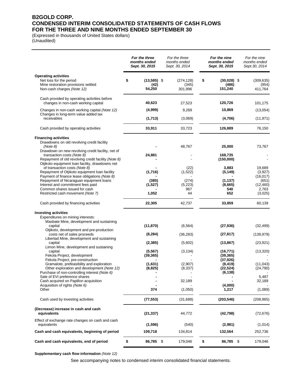### **B2GOLD CORP. CONDENSED INTERIM CONSOLIDATED STATEMENTS OF CASH FLOWS FOR THE THREE AND NINE MONTHS ENDED SEPTEMBER 30**

(Expressed in thousands of United States dollars) (Unaudited)

|                                                                                                                                            | For the three<br>months ended<br>Sept. 30, 2015 | For the three<br>months ended<br>Sept. 30, 2014 | For the nine<br>months ended<br>Sept. 30, 2015 | For the nine<br>months ended<br>Sept. 30, 2014 |
|--------------------------------------------------------------------------------------------------------------------------------------------|-------------------------------------------------|-------------------------------------------------|------------------------------------------------|------------------------------------------------|
| <b>Operating activities</b><br>Net loss for the period<br>Mine restoration provisions settled<br>Non-cash charges (Note 12)                | \$<br>$(13,585)$ \$<br>(42)<br>54,250           | (274, 128)<br>(345)<br>301,996                  | \$<br>$(30,028)$ \$<br>(486)<br>151,240        | (309, 635)<br>(954)<br>411,764                 |
| Cash provided by operating activities before<br>changes in non-cash working capital                                                        | 40,623                                          | 27,523                                          | 120,726                                        | 101,175                                        |
| Changes in non-cash working capital (Note 12)                                                                                              | (4,999)                                         | 9,269                                           | 10,869                                         | (13,054)                                       |
| Changes in long-term value added tax<br>receivables                                                                                        | (1,713)                                         | (3,069)                                         | (4,706)                                        | (11, 971)                                      |
| Cash provided by operating activities                                                                                                      | 33,911                                          | 33,723                                          | 126,889                                        | 76,150                                         |
| <b>Financing activities</b><br>Drawdowns on old revolving credit facility<br>(Note 8)<br>Drawdown on new revolving credit facility, net of |                                                 | 48,767                                          | 25,000                                         | 73,767                                         |
| transaction costs (Note 8)<br>Repayment of old revolving credit facility (Note 8)<br>Otjikoto equipment loan facility, drawdowns net       | 24,881                                          |                                                 | 168,735<br>(150,000)                           |                                                |
| of transaction costs (Note 8)<br>Repayment of Otjikoto equipment loan facility<br>Payment of finance lease obligations (Note 8)            | (1,716)                                         | (22)<br>(1,522)                                 | 3,883<br>(5, 149)                              | 19,689<br>(3,927)<br>(16, 017)                 |
| Repayment of Nicaraguan equipment loans<br>Interest and commitment fees paid                                                               | (385)<br>(1,527)                                | (274)<br>(5,223)                                | (1, 137)<br>(8,665)                            | (651)<br>(12, 460)                             |
| Common shares issued for cash<br>Restricted cash movement (Note 7)                                                                         | 1,052                                           | 967<br>44                                       | 540<br>652                                     | 2,763<br>(3,025)                               |
| Cash provided by financing activities                                                                                                      | 22,305                                          | 42,737                                          | 33,859                                         | 60,139                                         |
| <b>Investing activities</b>                                                                                                                |                                                 |                                                 |                                                |                                                |
| Expenditures on mining interests:<br>Masbate Mine, development and sustaining                                                              |                                                 |                                                 |                                                |                                                |
| capital<br>Otjikoto, development and pre-production                                                                                        | (11, 870)                                       | (6, 564)                                        | (27, 936)                                      | (32, 499)                                      |
| costs net of sales proceeds                                                                                                                | (8, 284)                                        | (36, 283)                                       | (27, 817)                                      | (139, 979)                                     |
| Libertad Mine, development and sustaining<br>capital<br>Limon Mine, development and sustaining                                             | (2, 385)                                        | (5,602)                                         | (13, 867)                                      | (23, 921)                                      |
| capital                                                                                                                                    | (5, 567)                                        | (3, 134)                                        | (16, 771)                                      | (13, 320)                                      |
| Fekola Project, development<br>Fekola Project, pre-construction                                                                            | (39, 365)                                       |                                                 | (39, 365)<br>(37, 926)                         |                                                |
| Gramalote, prefeasibility and exploration<br>Other exploration and development (Note 12)<br>Purchase of non-controlling interest (Note 6)  | (1,631)<br>(8, 825)                             | (2,907)<br>(8, 337)                             | (8, 419)<br>(22, 524)<br>(6, 138)              | (11, 043)<br>(24, 790)                         |
| Sale of EVI preference shares<br>Cash acquired on Papillon acquisition                                                                     |                                                 | 32,189                                          |                                                | 5,487<br>32,189                                |
| Acquisition of rights (Note 6)<br>Other                                                                                                    | 374                                             | (1,050)                                         | (4,000)<br>1,217                               | (1,089)                                        |
| Cash used by investing activities                                                                                                          | (77, 553)                                       | (31,688)                                        | (203, 546)                                     | (208, 965)                                     |
| (Decrease) increase in cash and cash<br>equivalents                                                                                        | (21, 337)                                       | 44,772                                          | (42, 798)                                      | (72, 676)                                      |
| Effect of exchange rate changes on cash and cash<br>equivalents                                                                            | (1,596)                                         | (540)                                           | (2,981)                                        | (1,014)                                        |
| Cash and cash equivalents, beginning of period                                                                                             | 109,718                                         | 134,814                                         | 132,564                                        | 252,736                                        |
| Cash and cash equivalents, end of period                                                                                                   | \$<br>86,785 \$                                 | 179,046                                         | \$<br>86,785 \$                                | 179,046                                        |

**Supplementary cash flow information** *(Note 12)*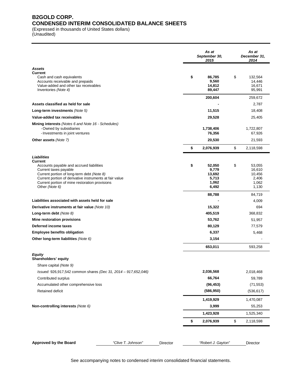### **B2GOLD CORP. CONDENSED INTERIM CONSOLIDATED BALANCE SHEETS**

(Expressed in thousands of United States dollars)

(Unaudited)

|                                                                                                                                                                                                                                                |                    |          | As at<br>September 30,<br>2015                             | As at<br>December 31,<br>2014                               |
|------------------------------------------------------------------------------------------------------------------------------------------------------------------------------------------------------------------------------------------------|--------------------|----------|------------------------------------------------------------|-------------------------------------------------------------|
| <b>Assets</b>                                                                                                                                                                                                                                  |                    |          |                                                            |                                                             |
| <b>Current</b><br>Cash and cash equivalents<br>Accounts receivable and prepaids<br>Value-added and other tax receivables<br>Inventories (Note 4)                                                                                               |                    |          | \$<br>86,785<br>9,560<br>14,812<br>89,447                  | \$<br>132,564<br>14,446<br>16,671<br>95,991                 |
|                                                                                                                                                                                                                                                |                    |          | 200,604                                                    | 259,672                                                     |
| Assets classified as held for sale                                                                                                                                                                                                             |                    |          |                                                            | 2,787                                                       |
| Long-term investments (Note 5)                                                                                                                                                                                                                 |                    |          | 11,515                                                     | 18,408                                                      |
| Value-added tax receivables                                                                                                                                                                                                                    |                    |          | 29,528                                                     | 25,405                                                      |
| <b>Mining interests</b> (Notes 6 and Note 16 - Schedules)<br>- Owned by subsidiaries<br>- Investments in joint ventures                                                                                                                        |                    |          | 1,738,406<br>76,356                                        | 1,722,807<br>67,926                                         |
| Other assets (Note 7)                                                                                                                                                                                                                          |                    |          | 20,530                                                     | 21,593                                                      |
|                                                                                                                                                                                                                                                |                    |          | \$<br>2,076,939                                            | \$<br>2,118,598                                             |
| <b>Liabilities</b><br><b>Current</b>                                                                                                                                                                                                           |                    |          |                                                            |                                                             |
| Accounts payable and accrued liabilities<br>Current taxes payable<br>Current portion of long-term debt (Note 8)<br>Current portion of derivative instruments at fair value<br>Current portion of mine restoration provisions<br>Other (Note 6) |                    |          | \$<br>52,050<br>9,779<br>13,692<br>5,713<br>1,062<br>6,492 | \$<br>53,055<br>16,610<br>10,456<br>2,406<br>1,062<br>1,130 |
|                                                                                                                                                                                                                                                |                    |          | 88,788                                                     | 84,719                                                      |
| Liabilities associated with assets held for sale                                                                                                                                                                                               |                    |          |                                                            | 4,009                                                       |
| Derivative instruments at fair value (Note 10)                                                                                                                                                                                                 |                    |          | 15,322                                                     | 694                                                         |
| Long-term debt $(Note 8)$                                                                                                                                                                                                                      |                    |          | 405,519                                                    | 368,832                                                     |
| Mine restoration provisions                                                                                                                                                                                                                    |                    |          | 53,762                                                     | 51,957                                                      |
| Deferred income taxes                                                                                                                                                                                                                          |                    |          | 80,129                                                     | 77,579                                                      |
| <b>Employee benefits obligation</b>                                                                                                                                                                                                            |                    |          | 6,337                                                      | 5,468                                                       |
| Other long-term liabilities (Note 6)                                                                                                                                                                                                           |                    |          | 3,154                                                      |                                                             |
|                                                                                                                                                                                                                                                |                    |          | 653,011                                                    | 593,258                                                     |
| <b>Equity</b><br>Shareholders' equity                                                                                                                                                                                                          |                    |          |                                                            |                                                             |
| Share capital (Note 9)                                                                                                                                                                                                                         |                    |          |                                                            |                                                             |
| Issued: 926,917,542 common shares (Dec 31, 2014 - 917,652,046)                                                                                                                                                                                 |                    |          | 2,036,568                                                  | 2,018,468                                                   |
| Contributed surplus                                                                                                                                                                                                                            |                    |          | 66,764                                                     | 59,789                                                      |
| Accumulated other comprehensive loss                                                                                                                                                                                                           |                    |          | (96, 453)                                                  | (71, 553)                                                   |
| Retained deficit                                                                                                                                                                                                                               |                    |          | (586, 950)                                                 | (536, 617)                                                  |
|                                                                                                                                                                                                                                                |                    |          | 1,419,929                                                  | 1,470,087                                                   |
| Non-controlling interests (Note 6)                                                                                                                                                                                                             |                    |          | 3,999                                                      | 55,253                                                      |
|                                                                                                                                                                                                                                                |                    |          | 1,423,928                                                  | 1,525,340                                                   |
|                                                                                                                                                                                                                                                |                    |          | \$<br>2,076,939                                            | \$<br>2,118,598                                             |
|                                                                                                                                                                                                                                                |                    |          |                                                            |                                                             |
| <b>Approved by the Board</b>                                                                                                                                                                                                                   | "Clive T. Johnson" | Director | "Robert J. Gayton"                                         | Director                                                    |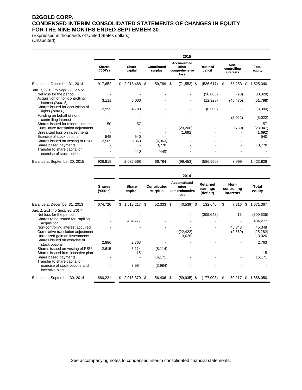### **B2GOLD CORP. CONDENSED INTERIM CONSOLIDATED STATEMENTS OF CHANGES IN EQUITY FOR THE NINE MONTHS ENDED SEPTEMBER 30**

(Expressed in thousands of United States dollars) (Unaudited)

|                                                           |                          | 2015 |                  |     |                        |   |                                               |                     |    |                                         |     |                 |
|-----------------------------------------------------------|--------------------------|------|------------------|-----|------------------------|---|-----------------------------------------------|---------------------|----|-----------------------------------------|-----|-----------------|
|                                                           | <b>Shares</b><br>(000's) |      | Share<br>capital |     | Contributed<br>surplus |   | Accumulated<br>other<br>comprehensive<br>loss | Retained<br>deficit |    | Non-<br>controlling<br><b>interests</b> |     | Total<br>equity |
| Balance at December 31, 2014                              | 917,652                  | \$   | 2,018,468        | \$. | 59,789                 | S | $(71, 553)$ \$                                | (536, 617)          | S. | 55,253                                  | \$. | 1,525,340       |
| Jan. 1, 2015 to Sept. 30, 2015:                           |                          |      |                  |     |                        |   |                                               |                     |    |                                         |     |                 |
| Net loss for the period                                   |                          |      |                  |     |                        |   |                                               | (30,005)            |    | (23)                                    |     | (30,028)        |
| Acquisition of non-controlling<br>interest (Note 6)       | 3,111                    |      | 6,000            |     |                        |   |                                               | (12, 328)           |    | (45, 470)                               |     | (51, 798)       |
| Shares issued for acquisition of<br>rights (Note 6)       | 2,995                    |      | 4,700            |     |                        |   | -                                             | (8,000)             |    |                                         |     | (3,300)         |
| Funding on behalf of non-<br>controlling interest         |                          |      |                  |     |                        |   |                                               |                     |    | (5,022)                                 |     | (5,022)         |
| Shares issued for mineral interest                        | 50                       |      | 57               |     |                        |   |                                               |                     |    |                                         |     | 57              |
| Cumulative translation adjustment                         |                          |      |                  |     |                        |   | (23, 208)                                     |                     |    | (739)                                   |     | (23, 947)       |
| Unrealized loss on investments                            |                          |      |                  |     |                        |   | (1,692)                                       |                     |    |                                         |     | (1,692)         |
| Exercise of stock options                                 | 545                      |      | 540              |     |                        |   |                                               |                     |    |                                         |     | 540             |
| Shares issued on vesting of RSU                           | 2,565                    |      | 6,363            |     | (6, 363)               |   |                                               |                     |    |                                         |     |                 |
| Share based payments                                      |                          |      |                  |     | 13,778                 |   |                                               |                     |    | ۰                                       |     | 13,778          |
| Transfer to share capital on<br>exercise of stock options |                          |      | 440              |     | (440)                  |   |                                               |                     |    |                                         |     |                 |
| Balance at September 30, 2015                             | 926,918                  |      | 2,036,568        |     | 66,764                 |   | (96, 453)                                     | (586, 950)          |    | 3,999                                   |     | 1,423,928       |

|                                                                                                                              |                           | 2014 |                         |     |                               |    |                                               |                                          |    |                                  |     |                              |
|------------------------------------------------------------------------------------------------------------------------------|---------------------------|------|-------------------------|-----|-------------------------------|----|-----------------------------------------------|------------------------------------------|----|----------------------------------|-----|------------------------------|
|                                                                                                                              | <b>Shares</b><br>('000's) |      | <b>Share</b><br>capital |     | <b>Contributed</b><br>surplus |    | Accumulated<br>other<br>comprehensive<br>loss | <b>Retained</b><br>earnings<br>(deficit) |    | Non-<br>controlling<br>interests |     | Total<br>equity              |
| Balance at December 31, 2013                                                                                                 | 674,720                   | \$   | 1,519,217               | \$  | 52,333                        | \$ | $(40,539)$ \$                                 | 132,640                                  | \$ | 7,716                            | -\$ | 1,671,367                    |
| Jan. 1, 2014 to Sept. 30, 2014:<br>Net loss for the period<br>Shares to be issued for Papillon                               |                           |      | 484,277                 |     |                               |    |                                               | (309, 648)                               |    | 13                               |     | (309, 635)<br>484,277        |
| acquisition<br>Non-controlling interest acquired<br>Cumulative translation adjustment<br>Unrealized gain on investments      |                           |      |                         |     |                               |    | (22, 422)<br>3,026                            |                                          |    | 45,348<br>(2,860)                |     | 45,348<br>(25, 282)<br>3,026 |
| Shares issued on exercise of<br>stock options                                                                                | 2,886                     |      | 2,763                   |     |                               |    |                                               |                                          |    |                                  |     | 2,763                        |
| Shares issued on vesting of RSU<br>Shares issued from incentive plan<br>Share based payments<br>Transfer to share capital on | 2,615                     |      | 8,114<br>15             |     | (8, 114)<br>16,171            |    |                                               |                                          |    | ۰                                |     | 15<br>16,171                 |
| exercise of stock options and<br>incentive plan                                                                              |                           |      | 3,984                   |     | (3,984)                       |    |                                               |                                          |    |                                  |     |                              |
| Balance at September 30, 2014                                                                                                | 680,221                   | \$   | 2,018,370               | \$. | 56,406                        | S  | $(59,935)$ \$                                 | (177,008)                                | S  | 50,217                           | S   | 1,888,050                    |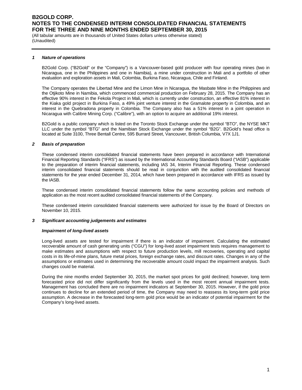(All tabular amounts are in thousands of United States dollars unless otherwise stated) (Unaudited)

#### *1 Nature of operations*

B2Gold Corp. ("B2Gold" or the "Company") is a Vancouver-based gold producer with four operating mines (two in Nicaragua, one in the Philippines and one in Namibia), a mine under construction in Mali and a portfolio of other evaluation and exploration assets in Mali, Colombia, Burkina Faso, Nicaragua, Chile and Finland.

The Company operates the Libertad Mine and the Limon Mine in Nicaragua, the Masbate Mine in the Philippines and the Otjikoto Mine in Namibia, which commenced commercial production on February 28, 2015. The Company has an effective 90% interest in the Fekola Project in Mali, which is currently under construction, an effective 81% interest in the Kiaka gold project in Burkina Faso, a 49% joint venture interest in the Gramalote property in Colombia, and an interest in the Quebradona property in Colombia. The Company also has a 51% interest in a joint operation in Nicaragua with Calibre Mining Corp. ("Calibre"), with an option to acquire an additional 19% interest.

B2Gold is a public company which is listed on the Toronto Stock Exchange under the symbol "BTO", the NYSE MKT LLC under the symbol "BTG" and the Namibian Stock Exchange under the symbol "B2G". B2Gold's head office is located at Suite 3100, Three Bentall Centre, 595 Burrard Street, Vancouver, British Columbia, V7X 1J1.

#### *2 Basis of preparation*

These condensed interim consolidated financial statements have been prepared in accordance with International Financial Reporting Standards ("IFRS") as issued by the International Accounting Standards Board ("IASB") applicable to the preparation of interim financial statements, including IAS 34, Interim Financial Reporting. These condensed interim consolidated financial statements should be read in conjunction with the audited consolidated financial statements for the year ended December 31, 2014, which have been prepared in accordance with IFRS as issued by the IASB.

These condensed interim consolidated financial statements follow the same accounting policies and methods of application as the most recent audited consolidated financial statements of the Company.

These condensed interim consolidated financial statements were authorized for issue by the Board of Directors on November 10, 2015.

#### *3 Significant accounting judgements and estimates*

#### *Impairment of long-lived assets*

Long-lived assets are tested for impairment if there is an indicator of impairment. Calculating the estimated recoverable amount of cash generating units ("CGU") for long-lived asset impairment tests requires management to make estimates and assumptions with respect to future production levels, mill recoveries, operating and capital costs in its life-of-mine plans, future metal prices, foreign exchange rates, and discount rates. Changes in any of the assumptions or estimates used in determining the recoverable amount could impact the impairment analysis. Such changes could be material.

During the nine months ended September 30, 2015, the market spot prices for gold declined; however, long term forecasted price did not differ significantly from the levels used in the most recent annual impairment tests. Management has concluded there are no impairment indicators at September 30, 2015. However, if the gold price continues to decline for an extended period of time, the Company may need to reassess its long-term gold price assumption. A decrease in the forecasted long-term gold price would be an indicator of potential impairment for the Company's long-lived assets.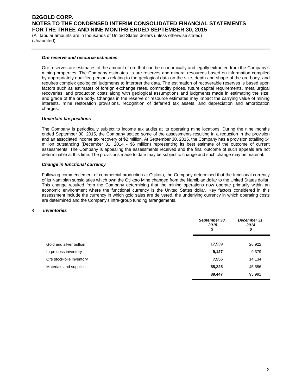(All tabular amounts are in thousands of United States dollars unless otherwise stated) (Unaudited)

#### *Ore reserve and resource estimates*

Ore reserves are estimates of the amount of ore that can be economically and legally extracted from the Company's mining properties. The Company estimates its ore reserves and mineral resources based on information compiled by appropriately qualified persons relating to the geological data on the size, depth and shape of the ore body, and requires complex geological judgments to interpret the data. The estimation of recoverable reserves is based upon factors such as estimates of foreign exchange rates, commodity prices, future capital requirements, metallurgical recoveries, and production costs along with geological assumptions and judgments made in estimating the size, and grade of the ore body. Changes in the reserve or resource estimates may impact the carrying value of mining interests, mine restoration provisions, recognition of deferred tax assets, and depreciation and amortization charges.

#### *Uncertain tax positions*

The Company is periodically subject to income tax audits at its operating mine locations. During the nine months ended September 30, 2015, the Company settled some of the assessments resulting in a reduction in the provision and an associated income tax recovery of \$2 million. At September 30, 2015, the Company has a provision totalling \$4 million outstanding (December 31, 2014 - \$6 million) representing its best estimate of the outcome of current assessments. The Company is appealing the assessments received and the final outcome of such appeals are not determinable at this time. The provisions made to date may be subject to change and such change may be material.

#### *Change in functional currency*

Following commencement of commercial production at Otjikoto, the Company determined that the functional currency of its Namibian subsidiaries which own the Otjikoto Mine changed from the Namibian dollar to the United States dollar. This change resulted from the Company determining that the mining operations now operate primarily within an economic environment where the functional currency is the United States dollar. Key factors considered in this assessment include the currency in which gold sales are delivered, the underlying currency in which operating costs are determined and the Company's intra-group funding arrangements.

#### *4 Inventories*

|                          | September 30,<br>2015<br>\$ | December 31,<br>2014<br>\$ |
|--------------------------|-----------------------------|----------------------------|
| Gold and silver bullion  | 17,539                      | 26,922                     |
| In-process inventory     | 9,127                       | 9,379                      |
| Ore stock-pile inventory | 7,556                       | 14,134                     |
| Materials and supplies   | 55,225                      | 45,556                     |
|                          | 89,447                      | 95,991                     |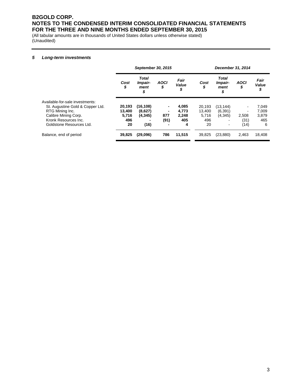(All tabular amounts are in thousands of United States dollars unless otherwise stated) (Unaudited)

#### *5 Long-term investments*

|                                  | September 30, 2015 |                                       |                   |                     |            | December 31, 2014                     |                   |                     |  |  |
|----------------------------------|--------------------|---------------------------------------|-------------------|---------------------|------------|---------------------------------------|-------------------|---------------------|--|--|
|                                  | Cost<br>\$         | <b>Total</b><br>Impair-<br>ment<br>\$ | <b>AOCI</b><br>\$ | Fair<br>Value<br>\$ | Cost<br>\$ | <b>Total</b><br>Impair-<br>ment<br>\$ | <b>AOCI</b><br>\$ | Fair<br>Value<br>\$ |  |  |
| Available-for-sale investments:  |                    |                                       |                   |                     |            |                                       |                   |                     |  |  |
| St. Augustine Gold & Copper Ltd. | 20,193             | (16, 108)                             |                   | 4,085               | 20,193     | (13, 144)                             |                   | 7,049               |  |  |
| RTG Mining Inc.                  | 13,400             | (8,627)                               |                   | 4,773               | 13.400     | (6, 391)                              |                   | 7,009               |  |  |
| Calibre Mining Corp.             | 5,716              | (4, 345)                              | 877               | 2.248               | 5,716      | (4, 345)                              | 2,508             | 3,879               |  |  |
| Kronk Resources Inc.             | 496                |                                       | (91)              | 405                 | 496        |                                       | (31)              | 465                 |  |  |
| Goldstone Resources Ltd.         | 20                 | (16)                                  |                   | 4                   | 20         | $\qquad \qquad \blacksquare$          | (14)              | 6                   |  |  |
| Balance, end of period           | 39,825             | (29,096)                              | 786               | 11,515              | 39.825     | (23, 880)                             | 2,463             | 18,408              |  |  |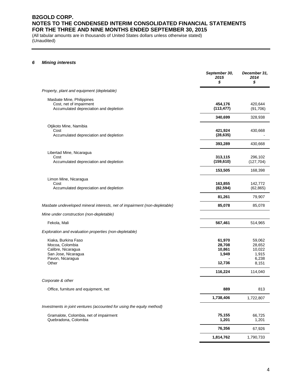(All tabular amounts are in thousands of United States dollars unless otherwise stated) (Unaudited)

#### *6 Mining interests*

|                                                                                                                  | September 30,<br>2015<br>\$                   | December 31,<br>2014<br>\$                                       |
|------------------------------------------------------------------------------------------------------------------|-----------------------------------------------|------------------------------------------------------------------|
| Property, plant and equipment (depletable)                                                                       |                                               |                                                                  |
| Masbate Mine, Philippines<br>Cost, net of impairment<br>Accumulated depreciation and depletion                   | 454,176<br>(113, 477)                         | 420,644<br>(91,706)                                              |
|                                                                                                                  | 340,699                                       | 328,938                                                          |
| Otjikoto Mine, Namibia<br>Cost<br>Accumulated depreciation and depletion                                         | 421,924<br>(28, 635)                          | 430,668                                                          |
|                                                                                                                  | 393,289                                       | 430,668                                                          |
| Libertad Mine, Nicaragua<br>Cost<br>Accumulated depreciation and depletion                                       | 313,115<br>(159, 610)                         | 296,102<br>(127, 704)                                            |
|                                                                                                                  | 153,505                                       | 168,398                                                          |
| Limon Mine, Nicaragua<br>Cost<br>Accumulated depreciation and depletion                                          | 163,855<br>(82, 594)                          | 142,772<br>(62, 865)                                             |
|                                                                                                                  | 81,261                                        | 79,907                                                           |
| Masbate undeveloped mineral interests, net of impairment (non-depletable)                                        | 85,078                                        | 85,078                                                           |
| Mine under construction (non-depletable)                                                                         |                                               |                                                                  |
| Fekola, Mali                                                                                                     | 567,461                                       | 514,965                                                          |
| Exploration and evaluation properties (non-depletable)                                                           |                                               |                                                                  |
| Kiaka, Burkina Faso<br>Mocoa, Colombia<br>Calibre, Nicaragua<br>San Jose, Nicaragua<br>Pavon, Nicaragua<br>Other | 61,970<br>28,708<br>10,861<br>1,949<br>12,736 | 59,062<br>28,652<br>10,022<br>1,915<br>6,238<br>8,151<br>114,040 |
| Corporate & other                                                                                                | 116,224                                       |                                                                  |
|                                                                                                                  | 889                                           | 813                                                              |
| Office, furniture and equipment, net                                                                             | 1,738,406                                     | 1,722,807                                                        |
| Investments in joint ventures (accounted for using the equity method)                                            |                                               |                                                                  |
| Gramalote, Colombia, net of impairment                                                                           | 75,155                                        | 66,725                                                           |
| Quebradona, Colombia                                                                                             | 1,201                                         | 1,201                                                            |
|                                                                                                                  | 76,356                                        | 67,926                                                           |
|                                                                                                                  | 1,814,762                                     | 1,790,733                                                        |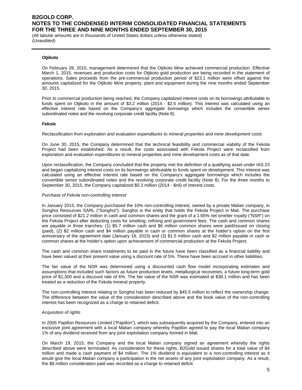(All tabular amounts are in thousands of United States dollars unless otherwise stated) (Unaudited)

#### *Otjikoto*

On February 28, 2015, management determined that the Otjikoto Mine achieved commercial production. Effective March 1, 2015, revenues and production costs for Otjikoto gold production are being recorded in the statement of operations. Sales proceeds from the pre-commercial production period of \$23.1 million were offset against the amounts capitalized for the Otjikoto Mine property, plant and equipment during the nine months ended September 30, 2015.

Prior to commercial production being reached, the Company capitalized interest costs on its borrowings attributable to funds spent on Otjikoto in the amount of \$3.2 million (2014 - \$2.5 million). This interest was calculated using an effective interest rate based on the Company's aggregate borrowings which includes the convertible senior subordinated notes and the revolving corporate credit facility (Note 8).

#### *Fekola*

#### *Reclassification from exploration and evaluation expenditures to mineral properties and mine development costs*

On June 30, 2015, the Company determined that the technical feasibility and commercial viability of the Fekola Project had been established. As a result, the costs associated with Fekola Project were reclassified from exploration and evaluation expenditures to mineral properties and mine development costs as of that date.

Upon reclassification, the Company concluded that the property met the definition of a qualifying asset under IAS 23 and began capitalizing interest costs on its borrowings attributable to funds spent on development. This interest was calculated using an effective interest rate based on the Company's aggregate borrowings which includes the convertible senior subordinated notes and the revolving corporate credit facility (Note 8). For the three months to September 30, 2015, the Company capitalized \$0.3 million (2014 - \$nil) of interest costs.

#### *Purchase of Fekola non-controlling interest*

In January 2015, the Company purchased the 10% non-controlling interest, owned by a private Malian company, in Songhoi Resources SARL ("Songhoi"). Songhoi is the entity that holds the Fekola Project in Mali. The purchase price consisted of \$21.2 million in cash and common shares and the grant of a 1.65% net smelter royalty ("NSR") on the Fekola Project after deducting costs for smelting, refining and government fees. The cash and common shares are payable in three tranches: (1) \$5.7 million cash and \$6 million common shares were paid/issued on closing (paid), (2) \$2 million cash and \$4 million payable in cash or common shares at the holder's option on the first anniversary of the agreement date (January 18, 2015) and (3) \$1.5 million cash and \$2 million payable in cash or common shares at the holder's option upon achievement of commercial production at the Fekola Project.

The cash and common share instalments to be paid in the future have been classified as a financial liability and have been valued at their present value using a discount rate of 5%. These have been accrued in other liabilities.

The fair value of the NSR was determined using a discounted cash flow model incorporating estimates and assumptions that included such factors as future production levels, metallurgical recoveries, a future long-term gold price of \$1,300 and a discount rate of 6%. The fair value of the NSR was estimated at \$38.1 million and has been treated as a reduction of the Fekola mineral property.

The non-controlling interest relating to Songhoi has been reduced by \$45.5 million to reflect the ownership change. The difference between the value of the consideration described above and the book value of the non-controlling interest has been recognized as a charge to retained deficit.

#### *Acquisition of rights*

In 2005 Papillon Resources Limited ("Papillon"), which was subsequently acquired by the Company, entered into an exclusive joint agreement with a local Malian company whereby Papillon agreed to pay the local Malian company 1% of any dividend received from any joint exploitation company formed in Mali.

On March 19, 2015, the Company and the local Malian company signed an agreement whereby the rights described above were terminated. As consideration for these rights, B2Gold issued shares for a total value of \$4 million and made a cash payment of \$4 million. The 1% dividend is equivalent to a non-controlling interest as it would give the local Malian company a participation in the net assets of any joint exploitation company. As a result, the \$8 million consideration paid was recorded as a charge to retained deficit.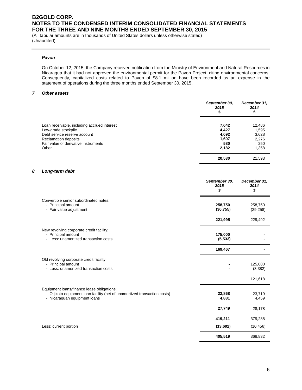(All tabular amounts are in thousands of United States dollars unless otherwise stated) (Unaudited)

#### *Pavon*

On October 12, 2015, the Company received notification from the Ministry of Environment and Natural Resources in Nicaragua that it had not approved the environmental permit for the Pavon Project, citing environmental concerns. Consequently, capitalized costs related to Pavon of \$8.1 million have been recorded as an expense in the statement of operations during the three months ended September 30, 2015.

### *7 Other assets*

|                                             | September 30,<br>2015<br>\$ | December 31,<br>2014<br>\$ |
|---------------------------------------------|-----------------------------|----------------------------|
| Loan receivable, including accrued interest | 7,642                       | 12,486                     |
| Low-grade stockpile                         | 4,427                       | 1,595                      |
| Debt service reserve account                | 4,092                       | 3,628                      |
| <b>Reclamation deposits</b>                 | 1.607                       | 2,276                      |
| Fair value of derivative instruments        | 580                         | 250                        |
| Other                                       | 2,182                       | 1,358                      |
|                                             | 20,530                      | 21,593                     |

#### *8 Long-term debt*

|                                                                                                                                                         | September 30,<br>2015<br>\$ | December 31,<br>2014<br>\$ |
|---------------------------------------------------------------------------------------------------------------------------------------------------------|-----------------------------|----------------------------|
| Convertible senior subordinated notes:<br>- Principal amount<br>- Fair value adjustment                                                                 | 258,750<br>(36, 755)        | 258,750<br>(29, 258)       |
|                                                                                                                                                         | 221,995                     | 229,492                    |
| New revolving corporate credit facility:<br>- Principal amount<br>- Less: unamortized transaction costs                                                 | 175,000<br>(5, 533)         |                            |
|                                                                                                                                                         | 169,467                     |                            |
| Old revolving corporate credit facility:<br>- Principal amount<br>- Less: unamortized transaction costs                                                 |                             | 125,000<br>(3, 382)        |
|                                                                                                                                                         |                             | 121,618                    |
| Equipment loans/finance lease obligations:<br>- Otjikoto equipment loan facility (net of unamortized transaction costs)<br>- Nicaraguan equipment loans | 22,868<br>4,881             | 23,719<br>4,459            |
|                                                                                                                                                         | 27,749                      | 28,178                     |
|                                                                                                                                                         | 419,211                     | 379,288                    |
| Less: current portion                                                                                                                                   | (13, 692)                   | (10, 456)                  |
|                                                                                                                                                         | 405,519                     | 368,832                    |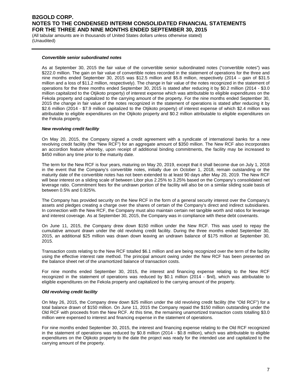(All tabular amounts are in thousands of United States dollars unless otherwise stated) (Unaudited)

#### *Convertible senior subordinated notes*

As at September 30, 2015 the fair value of the convertible senior subordinated notes ("convertible notes") was \$222.0 million. The gain on fair value of convertible notes recorded in the statement of operations for the three and nine months ended September 30, 2015 was \$12.5 million and \$5.8 million, respectively (2014 – gain of \$31.5 million and a loss of \$11.2 million, respectively). The change in fair value of the notes recognized in the statement of operations for the three months ended September 30, 2015 is stated after reducing it by \$0.2 million (2014 - \$3.0 million capitalized to the Otjikoto property) of interest expense which was attributable to eligible expenditures on the Fekola property and capitalized to the carrying amount of the property. For the nine months ended September 30, 2015 the change in fair value of the notes recognized in the statement of operations is stated after reducing it by \$2.6 million (2014 - \$7.9 million capitalized to the Otjikoto property) of interest expense of which \$2.4 million was attributable to eligible expenditures on the Otjikoto property and \$0.2 million attributable to eligible expenditures on the Fekola property.

#### *New revolving credit facility*

On May 20, 2015, the Company signed a credit agreement with a syndicate of international banks for a new revolving credit facility (the "New RCF") for an aggregate amount of \$350 million. The New RCF also incorporates an accordion feature whereby, upon receipt of additional binding commitments, the facility may be increased to \$450 million any time prior to the maturity date.

The term for the New RCF is four years, maturing on May 20, 2019, except that it shall become due on July 1, 2018 in the event that the Company's convertible notes, initially due on October 1, 2018, remain outstanding or the maturity date of the convertible notes has not been extended to at least 90 days after May 20, 2019. The New RCF will bear interest on a sliding scale of between Libor plus 2.25% to 3.25% based on the Company's consolidated net leverage ratio. Commitment fees for the undrawn portion of the facility will also be on a similar sliding scale basis of between 0.5% and 0.925%.

The Company has provided security on the New RCF in the form of a general security interest over the Company's assets and pledges creating a charge over the shares of certain of the Company's direct and indirect subsidiaries. In connection with the New RCF, the Company must also maintain certain net tangible worth and ratios for leverage and interest coverage. As at September 30, 2015, the Company was in compliance with these debt covenants.

On June 11, 2015, the Company drew down \$150 million under the New RCF. This was used to repay the cumulative amount drawn under the old revolving credit facility. During the three months ended September 30, 2015, an additional \$25 million was drawn down leaving an undrawn balance of \$175 million at September 30, 2015.

Transaction costs relating to the New RCF totalled \$6.1 million and are being recognized over the term of the facility using the effective interest rate method. The principal amount owing under the New RCF has been presented on the balance sheet net of the unamortized balance of transaction costs.

For nine months ended September 30, 2015, the interest and financing expense relating to the New RCF recognized in the statement of operations was reduced by \$0.1 million (2014 - \$nil), which was attributable to eligible expenditures on the Fekola property and capitalized to the carrying amount of the property.

#### *Old revolving credit facility*

On May 26, 2015, the Company drew down \$25 million under the old revolving credit facility (the "Old RCF") for a total balance drawn of \$150 million. On June 11, 2015 the Company repaid the \$150 million outstanding under the Old RCF with proceeds from the New RCF. At this time, the remaining unamortized transaction costs totalling \$3.0 million were expensed to interest and financing expense in the statement of operations.

For nine months ended September 30, 2015, the interest and financing expense relating to the Old RCF recognized in the statement of operations was reduced by \$0.8 million (2014 - \$0.8 million), which was attributable to eligible expenditures on the Otjikoto property to the date the project was ready for the intended use and capitalized to the carrying amount of the property.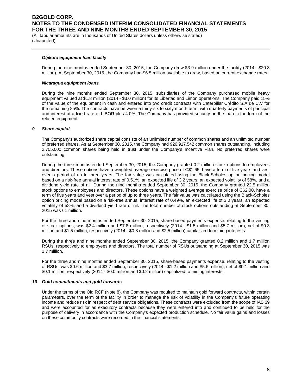(All tabular amounts are in thousands of United States dollars unless otherwise stated) (Unaudited)

#### *Otjikoto equipment loan facility*

During the nine months ended September 30, 2015, the Company drew \$3.9 million under the facility (2014 - \$20.3 million). At September 30, 2015, the Company had \$6.5 million available to draw, based on current exchange rates.

#### *Nicaragua equipment loans*

During the nine months ended September 30, 2015, subsidiaries of the Company purchased mobile heavy equipment valued at \$1.8 million (2014 - \$3.0 million) for its Libertad and Limon operations. The Company paid 15% of the value of the equipment in cash and entered into two credit contracts with Caterpillar Crédito S.A de C.V for the remaining 85%. The contracts have between a thirty-six to sixty month term, with quarterly payments of principal and interest at a fixed rate of LIBOR plus 4.0%. The Company has provided security on the loan in the form of the related equipment.

#### *9 Share capital*

The Company's authorized share capital consists of an unlimited number of common shares and an unlimited number of preferred shares. As at September 30, 2015, the Company had 926,917,542 common shares outstanding, including 2,705,000 common shares being held in trust under the Company's Incentive Plan. No preferred shares were outstanding.

During the three months ended September 30, 2015, the Company granted 0.2 million stock options to employees and directors. These options have a weighted average exercise price of C\$1.65, have a term of five years and vest over a period of up to three years. The fair value was calculated using the Black-Scholes option pricing model based on a risk-free annual interest rate of 0.51%, an expected life of 3.2 years, an expected volatility of 58%, and a dividend yield rate of nil. During the nine months ended September 30, 2015, the Company granted 22.5 million stock options to employees and directors. These options have a weighted average exercise price of C\$2.00, have a term of five years and vest over a period of up to three years. The fair value was calculated using the Black-Scholes option pricing model based on a risk-free annual interest rate of 0.49%, an expected life of 3.0 years, an expected volatility of 58%, and a dividend yield rate of nil. The total number of stock options outstanding at September 30, 2015 was 61 million.

For the three and nine months ended September 30, 2015, share-based payments expense, relating to the vesting of stock options, was \$2.4 million and \$7.8 million, respectively (2014 - \$1.5 million and \$5.7 million), net of \$0.3 million and \$1.5 million, respectively (2014 - \$0.8 million and \$2.5 million) capitalized to mining interests.

During the three and nine months ended September 30, 2015, the Company granted 0.2 million and 1.7 million RSUs, respectively to employees and directors. The total number of RSUs outstanding at September 30, 2015 was 1.7 million.

For the three and nine months ended September 30, 2015, share-based payments expense, relating to the vesting of RSUs, was \$0.6 million and \$3.7 million, respectively (2014 - \$1.2 million and \$5.6 million), net of \$0.1 million and \$0.1 million, respectively (2014 - \$0.0 million and \$0.2 million) capitalized to mining interests.

#### *10 Gold commitments and gold forwards*

Under the terms of the Old RCF (Note 8), the Company was required to maintain gold forward contracts, within certain parameters, over the term of the facility in order to manage the risk of volatility in the Company's future operating income and reduce risk in respect of debt service obligations. These contracts were excluded from the scope of IAS 39 and were accounted for as executory contracts because they were entered into and continued to be held for the purpose of delivery in accordance with the Company's expected production schedule. No fair value gains and losses on these commodity contracts were recorded in the financial statements.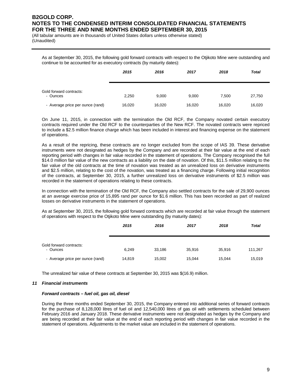(All tabular amounts are in thousands of United States dollars unless otherwise stated) (Unaudited)

As at September 30, 2015, the following gold forward contracts with respect to the Otjikoto Mine were outstanding and continue to be accounted for as executory contracts (by maturity dates):

|                                     | 2015   | 2016   | 2017   | 2018   | <b>Total</b> |
|-------------------------------------|--------|--------|--------|--------|--------------|
| Gold forward contracts:<br>- Ounces | 2,250  | 9,000  | 9,000  | 7,500  | 27,750       |
| - Average price per ounce (rand)    | 16,020 | 16,020 | 16,020 | 16,020 | 16,020       |

On June 11, 2015, in connection with the termination the Old RCF, the Company novated certain executory contracts required under the Old RCF to the counterparties of the New RCF. The novated contracts were repriced to include a \$2.5 million finance charge which has been included in interest and financing expense on the statement of operations.

As a result of the repricing, these contracts are no longer excluded from the scope of IAS 39. These derivative instruments were not designated as hedges by the Company and are recorded at their fair value at the end of each reporting period with changes in fair value recorded in the statement of operations. The Company recognised the full \$14.0 million fair value of the new contracts as a liability on the date of novation. Of this, \$11.5 million relating to the fair value of the old contracts at the time of novation was treated as an unrealized loss on derivative instruments and \$2.5 million, relating to the cost of the novation, was treated as a financing charge. Following initial recognition of the contracts, at September 30, 2015, a further unrealized loss on derivative instruments of \$2.5 million was recorded in the statement of operations relating to these contracts.

In connection with the termination of the Old RCF, the Company also settled contracts for the sale of 29,900 ounces at an average exercise price of 15,895 rand per ounce for \$1.6 million. This has been recorded as part of realized losses on derivative instruments in the statement of operations.

As at September 30, 2015, the following gold forward contracts which are recorded at fair value through the statement of operations with respect to the Otjikoto Mine were outstanding (by maturity dates):

|                                     | 2015   | 2016   | 2017   | 2018   | <b>Total</b> |
|-------------------------------------|--------|--------|--------|--------|--------------|
| Gold forward contracts:<br>- Ounces | 6.249  | 33.186 | 35.916 | 35.916 | 111,267      |
| - Average price per ounce (rand)    | 14,819 | 15,002 | 15,044 | 15.044 | 15,019       |

The unrealized fair value of these contracts at September 30, 2015 was \$(16.9) million.

#### *11 Financial instruments*

#### *Forward contracts – fuel oil, gas oil, diesel*

During the three months ended September 30, 2015, the Company entered into additional series of forward contracts for the purchase of 8,128,000 litres of fuel oil and 12,540,000 litres of gas oil with settlements scheduled between February 2016 and January 2018. These derivative instruments were not designated as hedges by the Company and are being recorded at their fair value at the end of each reporting period with changes in fair value recorded in the statement of operations. Adjustments to the market value are included in the statement of operations.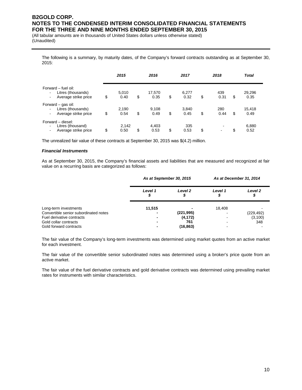(All tabular amounts are in thousands of United States dollars unless otherwise stated) (Unaudited)

The following is a summary, by maturity dates, of the Company's forward contracts outstanding as at September 30, 2015:

|                                                                                                                 | 2015                | 2016                 | 2017                | 2018              | <b>Total</b>         |
|-----------------------------------------------------------------------------------------------------------------|---------------------|----------------------|---------------------|-------------------|----------------------|
| Forward - fuel oil:<br>Litres (thousands)<br>$\blacksquare$<br>Average strike price<br>$\overline{\phantom{a}}$ | \$<br>5.010<br>0.40 | \$<br>17,570<br>0.35 | \$<br>6,277<br>0.32 | \$<br>439<br>0.31 | \$<br>29,296<br>0.35 |
| Forward - gas oil:<br>Litres (thousands)<br>$\blacksquare$<br>Average strike price                              | \$<br>2.190<br>0.54 | \$<br>9.108<br>0.49  | \$<br>3.840<br>0.45 | \$<br>280<br>0.44 | \$<br>15.418<br>0.49 |
| Forward - diesel:<br>Litres (thousand)<br>$\blacksquare$<br>Average strike price                                | \$<br>2,142<br>0.50 | \$<br>4.403<br>0.53  | \$<br>335<br>0.53   | \$                | \$<br>6,880<br>0.52  |

The unrealized fair value of these contracts at September 30, 2015 was \$(4.2) million.

#### *Financial Instruments*

As at September 30, 2015, the Company's financial assets and liabilities that are measured and recognized at fair value on a recurring basis are categorized as follows:

|                                                                                                                                                |         | As at September 30, 2015                   |              | As at December 31, 2014       |
|------------------------------------------------------------------------------------------------------------------------------------------------|---------|--------------------------------------------|--------------|-------------------------------|
|                                                                                                                                                | Level 1 | Level <sub>2</sub>                         | Level 1<br>จ | Level 2<br>\$                 |
| Long-term investments<br>Convertible senior subordinated notes<br>Fuel derivative contracts<br>Gold collar contracts<br>Gold forward contracts | 11,515  | (221, 995)<br>(4, 172)<br>761<br>(16, 863) | 18,408       | (229, 492)<br>(3, 100)<br>348 |

The fair value of the Company's long-term investments was determined using market quotes from an active market for each investment.

The fair value of the convertible senior subordinated notes was determined using a broker's price quote from an active market.

The fair value of the fuel derivative contracts and gold derivative contracts was determined using prevailing market rates for instruments with similar characteristics.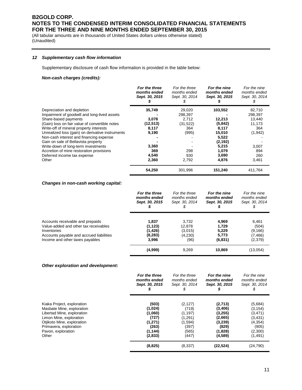(All tabular amounts are in thousands of United States dollars unless otherwise stated) (Unaudited)

#### *12 Supplementary cash flow information*

Supplementary disclosure of cash flow information is provided in the table below:

#### *Non-cash charges (credits):*

|                                                  | For the three<br>months ended<br>Sept. 30, 2015 | For the three<br>months ended<br>Sept. 30, 2014 | For the nine<br>months ended<br>Sept. 30, 2015 | For the nine<br>months ended<br>Sept. 30, 2014 |
|--------------------------------------------------|-------------------------------------------------|-------------------------------------------------|------------------------------------------------|------------------------------------------------|
| Depreciation and depletion                       | 35,749                                          | 29,020                                          | 103,552                                        | 82,710                                         |
| Impairment of goodwill and long-lived assets     |                                                 | 298,397                                         |                                                | 298,397                                        |
| Share-based payments                             | 3,078                                           | 2,712                                           | 12,213                                         | 13,440                                         |
| (Gain) loss on fair value of convertible notes   | (12,513)                                        | (31, 522)                                       | (5, 842)                                       | 11,173                                         |
| Write-off of mineral property interests          | 8,117                                           | 364                                             | 8,117                                          | 364                                            |
| Unrealized loss (gain) on derivative instruments | 9,190                                           | (995)                                           | 15,010                                         | (1,942)                                        |
| Non-cash interest and financing expense          |                                                 |                                                 | 5,522                                          |                                                |
| Gain on sale of Bellavista property              |                                                 |                                                 | (2, 192)                                       |                                                |
| Write-down of long-term investments              | 3,360                                           |                                                 | 5,215                                          | 3,007                                          |
| Accretion of mine restoration provisions         | 369                                             | 298                                             | 1,079                                          | 894                                            |
| Deferred income tax expense                      | 4,540                                           | 930                                             | 3,690                                          | 260                                            |
| Other                                            | 2,360                                           | 2,792                                           | 4,876                                          | 3,461                                          |
|                                                  | 54,250                                          | 301,996                                         | 151,240                                        | 411,764                                        |

#### *Changes in non-cash working capital:*

|                                          | For the three  | For the three  | For the nine   | For the nine   |
|------------------------------------------|----------------|----------------|----------------|----------------|
|                                          | months ended   | months ended   | months ended   | months ended   |
|                                          | Sept. 30, 2015 | Sept. 30, 2014 | Sept. 30, 2015 | Sept. 30, 2014 |
| Accounts receivable and prepaids         | 1.837          | 3,732          | 4.969          | 6.461          |
| Value-added and other tax receivables    | (1, 123)       | 12.878         | 1.729          | (504)          |
| Inventories                              | (1,426)        | (3,015)        | 5.229          | (9, 166)       |
| Accounts payable and accrued liabilities | (8,283)        | (4,230)        | 5,773          | (7, 466)       |
| Income and other taxes payables          | 3.996          | (96)           | (6, 831)       | (2,379)        |
|                                          | (4,999)        | 9,269          | 10,869         | (13,054)       |

#### *Other exploration and development:*

|                                                         | For the three<br>months ended<br>Sept. 30, 2015 | For the three<br>months ended<br>Sept. 30, 2014 | For the nine<br>months ended<br>Sept. 30, 2015 | For the nine<br>months ended<br>Sept. 30, 2014 |
|---------------------------------------------------------|-------------------------------------------------|-------------------------------------------------|------------------------------------------------|------------------------------------------------|
|                                                         |                                                 |                                                 |                                                |                                                |
| Kiaka Project, exploration<br>Masbate Mine, exploration | (503)<br>(1,024)                                | (2, 127)<br>(719)                               | (2,713)<br>(3, 406)                            | (5,684)<br>(3, 154)                            |
| Libertad Mine, exploration                              | (1,060)                                         | (1, 197)                                        | (3, 255)                                       | (3,471)                                        |
|                                                         | (727)                                           | (1, 291)                                        | (2,665)                                        |                                                |
| Limon Mine, exploration                                 | (1, 271)                                        | (1,594)                                         |                                                | (3,431)                                        |
| Otjikoto Mine, exploration                              |                                                 |                                                 | (3,239)                                        | (4, 354)                                       |
| Primavera, exploration                                  | (263)                                           | (397)                                           | (829)                                          | (905)                                          |
| Pavon, exploration                                      | (1, 144)                                        | (565)                                           | (1,828)                                        | (2,300)                                        |
| Other                                                   | (2,833)                                         | (447)                                           | (4,589)                                        | (1,491)                                        |
|                                                         | (8, 825)                                        | (8, 337)                                        | (22, 524)                                      | (24, 790)                                      |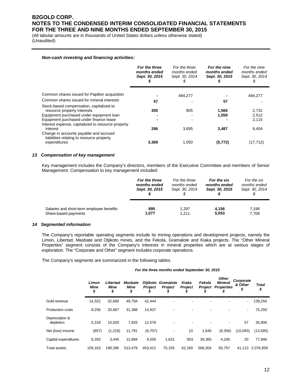(All tabular amounts are in thousands of United States dollars unless otherwise stated) (Unaudited)

#### *Non-cash investing and financing activities:*

|                                                                                     | For the three<br>months ended<br>Sept. 30, 2015 | For the three<br>months ended<br>Sept. 30, 2014<br>ъ | For the nine<br>months ended<br>Sept. 30, 2015<br>y, | For the nine<br>months ended<br>Sept. 30, 2014 |
|-------------------------------------------------------------------------------------|-------------------------------------------------|------------------------------------------------------|------------------------------------------------------|------------------------------------------------|
| Common shares issued for Papillon acquisition                                       |                                                 | 484.277                                              |                                                      | 484,277                                        |
| Common shares issued for mineral interests                                          | 57                                              |                                                      | 57                                                   |                                                |
| Stock-based compensation, capitalized to                                            |                                                 |                                                      |                                                      |                                                |
| resource property interests                                                         | 305                                             | 805                                                  | 1,566                                                | 2,731                                          |
| Equipment purchased under equipment loan                                            |                                                 |                                                      | 1,559                                                | 2,512                                          |
| Equipment purchased under finance lease                                             |                                                 |                                                      |                                                      | 2,115                                          |
| Interest expense, capitalized to resource property<br>interest                      | 266                                             | 3,695                                                | 3,487                                                | 9,404                                          |
| Change in accounts payable and accrued<br>liabilities relating to resource property |                                                 |                                                      |                                                      |                                                |
| expenditures                                                                        | 3,369                                           | 1,050                                                | (5, 772)                                             | (17, 712)                                      |

#### *13 Compensation of key management*

Key management includes the Company's directors, members of the Executive Committee and members of Senior Management. Compensation to key management included:

|                                           | For the three  | For the three  | For the six    | For the six    |
|-------------------------------------------|----------------|----------------|----------------|----------------|
|                                           | months ended   | months ended   | months ended   | months ended   |
|                                           | Sept. 30, 2015 | Sept. 30, 2014 | Sept. 30, 2015 | Sept. 30, 2014 |
| Salaries and short-term employee benefits | 895            | 1.297          | 4.156          | 7,198          |
| Share-based payments                      | 1,077          | 1.211          | 5,053          | 7,708          |

#### *14 Segmented information*

The Company's reportable operating segments include its mining operations and development projects, namely the Limon, Libertad, Masbate and Otjikoto mines, and the Fekola, Gramalote and Kiaka projects. The "Other Mineral Properties" segment consists of the Company's interests in mineral properties which are at various stages of exploration. The "Corporate and Other" segment includes corporate operations.

The Company's segments are summarized in the following tables.

#### *For the three months ended September 30, 2015*

|                             | Limon<br>Mine<br>\$ | Libertad<br><b>Mine</b><br>\$ | <b>Masbate</b><br>Mine<br>\$ | Otjikoto<br><b>Project</b><br>J | Gramalote<br>Project | Kiaka<br><b>Project</b> | Fekola<br><b>Project</b> | <b>Other</b><br><b>Mineral</b><br><b>Properties</b><br>S | Corporate<br>& Other<br>\$ | <b>Total</b><br>\$ |
|-----------------------------|---------------------|-------------------------------|------------------------------|---------------------------------|----------------------|-------------------------|--------------------------|----------------------------------------------------------|----------------------------|--------------------|
| Gold revenue                | 14,322              | 32,690                        | 49,794                       | 42,444                          |                      |                         |                          | -                                                        | $\overline{\phantom{a}}$   | 139,250            |
| <b>Production costs</b>     | 8,258               | 20,667                        | 31,388                       | 14,937                          |                      |                         |                          |                                                          | ٠                          | 75,250             |
| Depreciation &<br>depletion | 5,318               | 10,020                        | 7,833                        | 12,578                          |                      |                         |                          | -                                                        | 57                         | 35,806             |
| Net (loss) income           | (657)               | (1,218)                       | 11,791                       | (6,707)                         |                      | 10                      | 1,645                    | (8,356)                                                  | (10,093)                   | (13,585)           |
| Capital expenditures        | 6,293               | 3,445                         | 12,894                       | 9,555                           | 1,631                | 503                     | 39,365                   | 4,240                                                    | 20                         | 77,946             |
| <b>Total assets</b>         | 109,163             | 198.396                       | 513.479                      | 453.412                         | 75,155               | 62,160                  | 568.304                  | 55,757                                                   |                            | 41,113 2,076,939   |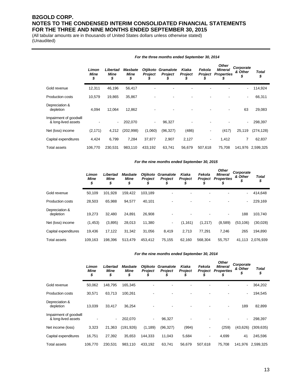(All tabular amounts are in thousands of United States dollars unless otherwise stated) (Unaudited)

|                                               | Limon<br><b>Mine</b><br>\$ | Libertad<br>Mine<br>\$ | <b>Masbate</b><br>Mine<br>\$ | <b>Otjikoto</b><br><b>Project</b><br>ĴЬ | Gramalote<br><b>Project</b> | Kiaka<br>Project<br>J. | Fekola<br><b>Project</b><br>5 | <b>Other</b><br><b>Mineral</b><br><b>Properties</b><br>S | Corporate<br>& Other<br>\$ | <b>Total</b><br>\$ |
|-----------------------------------------------|----------------------------|------------------------|------------------------------|-----------------------------------------|-----------------------------|------------------------|-------------------------------|----------------------------------------------------------|----------------------------|--------------------|
| Gold revenue                                  | 12,311                     | 46,196                 | 56,417                       |                                         |                             |                        |                               |                                                          | ٠                          | 114,924            |
| <b>Production costs</b>                       | 10,579                     | 19,865                 | 35,867                       |                                         |                             |                        |                               |                                                          | ٠                          | 66,311             |
| Depreciation &<br>depletion                   | 4,094                      | 12,064                 | 12,862                       |                                         |                             |                        |                               |                                                          | 63                         | 29,083             |
| Impairment of goodwill<br>& long-lived assets |                            | $\sim$                 | 202,070                      | ٠                                       | 96,327                      |                        |                               |                                                          |                            | 298,397            |
| Net (loss) income                             | (2, 171)                   | 4,212                  | (202, 998)                   | (1,060)                                 | (96, 327)                   | (486)                  | ۰                             | (417)                                                    | 25,119                     | (274, 128)         |
| Capital expenditures                          | 4,424                      | 6,799                  | 7,284                        | 37,877                                  | 2,907                       | 2,127                  | ٠                             | 1,412                                                    | 7                          | 62,837             |
| Total assets                                  | 106,770                    | 230,531                | 983,110                      | 433,192                                 | 63,741                      | 56,679                 | 507,618                       | 75,708                                                   |                            | 141,976 2,599,325  |

#### *For the three months ended September 30, 2014*

#### *For the nine months ended September 30, 2015*

|                             | Limon<br><b>Mine</b><br>\$ | Libertad<br><b>Mine</b><br>\$ | <b>Masbate</b><br><b>Mine</b><br>\$ | <b>Otjikoto</b><br><b>Project</b> | <b>Gramalote</b><br><b>Project</b> | Kiaka<br><b>Project</b> | Fekola<br>Project | <b>Other</b><br><b>Mineral</b><br><b>Properties</b><br>P | Corporate<br>& Other<br>\$ | Total<br>\$ |
|-----------------------------|----------------------------|-------------------------------|-------------------------------------|-----------------------------------|------------------------------------|-------------------------|-------------------|----------------------------------------------------------|----------------------------|-------------|
| Gold revenue                | 50.109                     | 101,928                       | 159.422                             | 103,189                           | ٠                                  |                         |                   |                                                          | $\overline{\phantom{a}}$   | 414,648     |
| <b>Production costs</b>     | 28,503                     | 65,988                        | 94.577                              | 40,101                            | ٠                                  |                         |                   | ۰                                                        | $\overline{\phantom{0}}$   | 229,169     |
| Depreciation &<br>depletion | 19.273                     | 32.480                        | 24.891                              | 26,908                            |                                    |                         |                   |                                                          | 188                        | 103,740     |
| Net (loss) income           | (1, 453)                   | (3,895)                       | 28,013                              | 11,380                            | $\overline{\phantom{a}}$           | (1, 161)                | (1, 217)          | (8,589)                                                  | (53, 106)                  | (30,028)    |
| Capital expenditures        | 19,436                     | 17,122                        | 31,342                              | 31,056                            | 8,419                              | 2,713                   | 77,291            | 7.246                                                    | 265                        | 194,890     |
| <b>Total assets</b>         | 109,163                    | 198,396                       | 513,479                             | 453,412                           | 75,155                             | 62,160                  | 568,304           | 55,757                                                   | 41.113                     | 2,076,939   |

#### *For the nine months ended September 30, 2014*

|                                               | Limon<br>Mine<br>\$ | Libertad<br>Mine<br>\$   | <b>Masbate</b><br>Mine<br>S | <b>Otjikoto</b><br>Project | Gramalote<br><b>Project</b> | Kiaka<br><b>Project</b> | Fekola<br>Project        | <b>Other</b><br><b>Mineral</b><br><b>Properties</b> | Corporate<br>& Other | Total<br>\$ |
|-----------------------------------------------|---------------------|--------------------------|-----------------------------|----------------------------|-----------------------------|-------------------------|--------------------------|-----------------------------------------------------|----------------------|-------------|
| Gold revenue                                  | 50,062              | 148,795                  | 165,345                     |                            |                             |                         |                          |                                                     | ۰                    | 364,202     |
| <b>Production costs</b>                       | 30,571              | 63,713                   | 100,261                     |                            |                             |                         |                          |                                                     | ٠                    | 194,545     |
| Depreciation &<br>depletion                   | 13,039              | 33,417                   | 36,254                      |                            |                             |                         |                          |                                                     | 189                  | 82,899      |
| Impairment of goodwill<br>& long-lived assets |                     | $\overline{\phantom{a}}$ | 202.070                     | ٠                          | 96,327                      | ٠                       |                          |                                                     | ٠                    | 298,397     |
| Net income (loss)                             | 3,323               | 21.363                   | (191, 926)                  | (1, 189)                   | (96, 327)                   | (994)                   |                          | (259)                                               | (43, 626)            | (309, 635)  |
| Capital expenditures                          | 16,751              | 27,392                   | 35,653                      | 144,333                    | 11,043                      | 5,684                   | $\overline{\phantom{a}}$ | 4,699                                               | 41                   | 245,596     |
| Total assets                                  | 106.770             | 230.531                  | 983.110                     | 433.192                    | 63.741                      | 56.679                  | 507.618                  | 75.708                                              | 141.976              | 2.599.325   |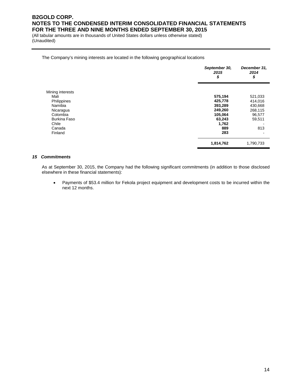(All tabular amounts are in thousands of United States dollars unless otherwise stated) (Unaudited)

#### The Company's mining interests are located in the following geographical locations

|                     | September 30,<br>2015<br>\$ | December 31.<br>2014<br>\$ |
|---------------------|-----------------------------|----------------------------|
| Mining interests    |                             |                            |
| Mali                | 575,194                     | 521,033                    |
| Philippines         | 425,778                     | 414,016                    |
| Namibia             | 393,289                     | 430,668                    |
| Nicaragua           | 249,260                     | 268,115                    |
| Colombia            | 105,064                     | 96,577                     |
| <b>Burkina Faso</b> | 63,243                      | 59,511                     |
| Chile               | 1,762                       |                            |
| Canada              | 889                         | 813                        |
| Finland             | 283                         |                            |
|                     | 1,814,762                   | 1,790,733                  |

#### *15 Commitments*

As at September 30, 2015, the Company had the following significant commitments (in addition to those disclosed elsewhere in these financial statements):

• Payments of \$53.4 million for Fekola project equipment and development costs to be incurred within the next 12 months.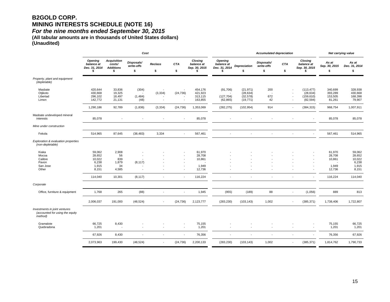## **B2GOLD CORP. MINING INTERESTS SCHEDULE (NOTE 16)**

*For the nine months ended September 30, 2015* 

**(All tabular amounts are in thousands of United States dollars) (Unaudited)**

|                                                                             | Cost                                                  |                                                        |                                |                          |                                                                                  |                                               |                                               | <b>Accumulated depreciation</b>                  |                                |                                                                                        |                                                      |                                                                 | Net carrying value                                    |  |
|-----------------------------------------------------------------------------|-------------------------------------------------------|--------------------------------------------------------|--------------------------------|--------------------------|----------------------------------------------------------------------------------|-----------------------------------------------|-----------------------------------------------|--------------------------------------------------|--------------------------------|----------------------------------------------------------------------------------------|------------------------------------------------------|-----------------------------------------------------------------|-------------------------------------------------------|--|
|                                                                             | <b>Opening</b><br>balance at<br>Dec. 31, 2014<br>S    | <b>Acquisition</b><br>costs/<br><b>Additions</b><br>\$ | Disposals/<br>write-offs<br>\$ | <b>Reclass</b><br>\$     | <b>CTA</b><br>\$                                                                 | Closing<br>balance at<br>Sep. 30, 2015<br>S   | <b>Opening</b><br>balance at<br>Dec. 31, 2014 | <b>Depreciation</b><br>\$                        | Disposals/<br>write-offs<br>\$ | CTA<br>\$                                                                              | Closing<br>balance at<br>Sep. 30, 2015<br>\$         | As at<br>Sep. 30, 2015<br>\$                                    | As at<br>Dec. 31, 2014<br>\$                          |  |
| Property, plant and equipment<br>(depletable)                               |                                                       |                                                        |                                |                          |                                                                                  |                                               |                                               |                                                  |                                |                                                                                        |                                                      |                                                                 |                                                       |  |
| Masbate<br>Otjikoto<br>Libertad<br>Limon                                    | 420,644<br>430,668<br>296,102<br>142,772              | 33,836<br>19,325<br>18,497<br>21,131                   | (304)<br>(1,484)<br>(48)       | (3, 334)                 | (24, 736)<br>$\overline{\phantom{a}}$                                            | 454,176<br>421,923<br>313,115<br>163,855      | (91,706)<br>(127, 704)<br>(62, 865)           | (21, 971)<br>(28, 634)<br>(32, 578)<br>(19, 771) | 200<br>672<br>42               | ٠.<br>$\overline{\phantom{a}}$<br>$\overline{\phantom{a}}$<br>$\overline{\phantom{a}}$ | (113, 477)<br>(28, 634)<br>(159, 610)<br>(82, 594)   | 340,699<br>393,289<br>153,505<br>81,261                         | 328,938<br>430,668<br>168,398<br>79,907               |  |
|                                                                             | 1,290,186                                             | 92,789                                                 | (1,836)                        | (3, 334)                 | (24, 736)                                                                        | 1,353,069                                     | (282, 275)                                    | (102, 954)                                       | 914                            |                                                                                        | (384, 315)<br>$\overline{\phantom{a}}$               | 968,754                                                         | 1,007,911                                             |  |
| Masbate undeveloped mineral<br>interests                                    | 85,078                                                |                                                        |                                |                          | $\blacksquare$                                                                   | 85,078                                        |                                               |                                                  |                                |                                                                                        |                                                      | 85,078                                                          | 85,078                                                |  |
| Mine under construction                                                     |                                                       |                                                        |                                |                          |                                                                                  |                                               |                                               |                                                  |                                |                                                                                        |                                                      |                                                                 |                                                       |  |
| Fekola                                                                      | 514,965                                               | 87,645                                                 | (38, 483)                      | 3,334                    | $\blacksquare$                                                                   | 567,461                                       | $\sim$                                        | $\blacksquare$                                   | $\overline{\phantom{a}}$       | ٠.                                                                                     |                                                      | 567,461                                                         | 514,965                                               |  |
| Exploration & evaluation properties<br>(non-depletable)                     |                                                       |                                                        |                                |                          |                                                                                  |                                               |                                               |                                                  |                                |                                                                                        |                                                      |                                                                 |                                                       |  |
| Kiaka<br>Mocoa<br>Calibre<br>Pavon<br>San Jose<br>Other                     | 59,062<br>28,652<br>10,022<br>6,238<br>1,915<br>8,151 | 2,908<br>56<br>839<br>1,879<br>34<br>4,585             | (8, 117)<br>$\overline{a}$     |                          | $\overline{\phantom{a}}$<br>$\overline{\phantom{a}}$<br>$\overline{\phantom{a}}$ | 61,970<br>28,708<br>10,861<br>1,949<br>12,736 |                                               |                                                  |                                |                                                                                        | ÷                                                    | 61,970<br>28,708<br>10,861<br>$\overline{a}$<br>1,949<br>12,736 | 59,062<br>28,652<br>10,022<br>6,238<br>1,915<br>8,151 |  |
|                                                                             | 114,040                                               | 10,301                                                 | (8, 117)                       |                          | $\overline{\phantom{a}}$                                                         | 116,224                                       | ÷                                             |                                                  |                                | $\overline{a}$                                                                         |                                                      | 116,224                                                         | 114,040                                               |  |
| Corporate                                                                   |                                                       |                                                        |                                |                          |                                                                                  |                                               |                                               |                                                  |                                |                                                                                        |                                                      |                                                                 |                                                       |  |
| Office, furniture & equipment                                               | 1,768                                                 | 265                                                    | (88)                           |                          | $\overline{\phantom{a}}$                                                         | 1,945                                         | (955)                                         | (189)                                            | 88                             |                                                                                        | (1,056)<br>$\overline{\phantom{a}}$                  | 889                                                             | 813                                                   |  |
|                                                                             | 2,006,037                                             | 191,000                                                | (48, 524)                      | $\overline{\phantom{a}}$ | (24, 736)                                                                        | 2,123,777                                     | (283, 230)                                    | (103, 143)                                       | 1,002                          |                                                                                        | (385, 371)<br>$\overline{\phantom{a}}$               | 1,738,406                                                       | 1,722,807                                             |  |
| Investments in joint ventures<br>(accounted for using the equity<br>method) |                                                       |                                                        |                                |                          |                                                                                  |                                               |                                               |                                                  |                                |                                                                                        |                                                      |                                                                 |                                                       |  |
| Gramalote<br>Quebradona                                                     | 66,725<br>1,201                                       | 8,430<br>٠.                                            | ÷.                             |                          | $\overline{\phantom{a}}$<br>$\overline{\phantom{a}}$                             | 75,155<br>1,201                               |                                               |                                                  |                                | ٠.                                                                                     | $\overline{\phantom{a}}$<br>$\overline{\phantom{a}}$ | 75,155<br>1,201                                                 | 66,725<br>1,201                                       |  |
|                                                                             | 67,926                                                | 8,430                                                  | $\sim$                         |                          | $\overline{\phantom{a}}$                                                         | 76,356                                        | ٠                                             |                                                  |                                | ٠.                                                                                     |                                                      | 76,356                                                          | 67,926                                                |  |
|                                                                             | 2,073,963                                             | 199,430                                                | (48, 524)                      |                          | (24, 736)                                                                        | 2,200,133                                     | (283, 230)                                    | (103, 143)                                       | 1,002                          |                                                                                        | (385, 371)<br>$\overline{\phantom{a}}$               | 1,814,762                                                       | 1,790,733                                             |  |